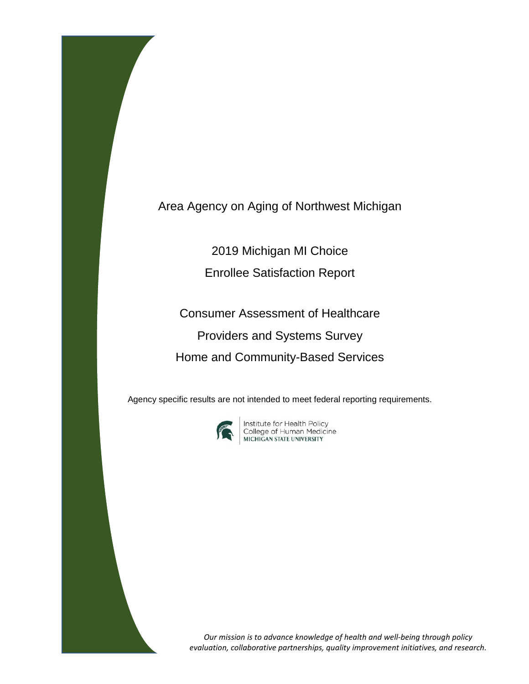Area Agency on Aging of Northwest Michigan

2019 Michigan MI Choice

Enrollee Satisfaction Report

Consumer Assessment of Healthcare Providers and Systems Survey Home and Community-Based Services

Agency specific results are not intended to meet federal reporting requirements.



**Institute for Health Policy<br>College of Human Medicine<br>MICHIGAN STATE UNIVERSITY** 

*Our mission is to advance knowledge of health and well-being through policy evaluation, collaborative partnerships, quality improvement initiatives, and research.*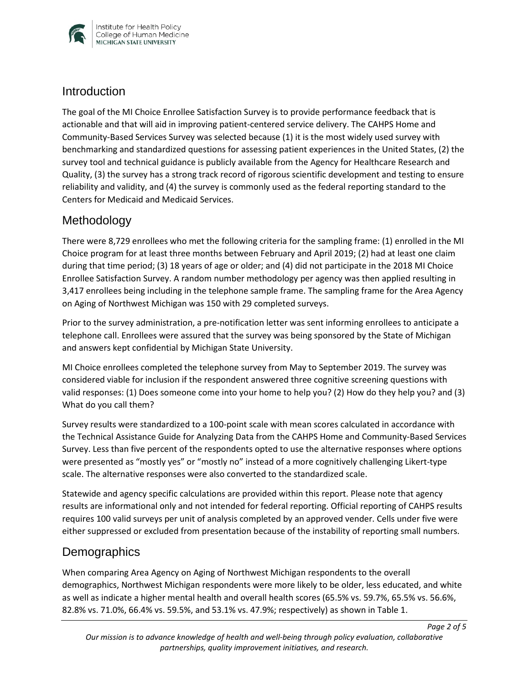

### **Introduction**

The goal of the MI Choice Enrollee Satisfaction Survey is to provide performance feedback that is actionable and that will aid in improving patient-centered service delivery. The CAHPS Home and Community-Based Services Survey was selected because (1) it is the most widely used survey with benchmarking and standardized questions for assessing patient experiences in the United States, (2) the survey tool and technical guidance is publicly available from the Agency for Healthcare Research and Quality, (3) the survey has a strong track record of rigorous scientific development and testing to ensure reliability and validity, and (4) the survey is commonly used as the federal reporting standard to the Centers for Medicaid and Medicaid Services.

# Methodology

There were 8,729 enrollees who met the following criteria for the sampling frame: (1) enrolled in the MI Choice program for at least three months between February and April 2019; (2) had at least one claim during that time period; (3) 18 years of age or older; and (4) did not participate in the 2018 MI Choice Enrollee Satisfaction Survey. A random number methodology per agency was then applied resulting in 3,417 enrollees being including in the telephone sample frame. The sampling frame for the Area Agency on Aging of Northwest Michigan was 150 with 29 completed surveys.

Prior to the survey administration, a pre-notification letter was sent informing enrollees to anticipate a telephone call. Enrollees were assured that the survey was being sponsored by the State of Michigan and answers kept confidential by Michigan State University.

MI Choice enrollees completed the telephone survey from May to September 2019. The survey was considered viable for inclusion if the respondent answered three cognitive screening questions with valid responses: (1) Does someone come into your home to help you? (2) How do they help you? and (3) What do you call them?

Survey results were standardized to a 100-point scale with mean scores calculated in accordance with the Technical Assistance Guide for Analyzing Data from the CAHPS Home and Community-Based Services Survey. Less than five percent of the respondents opted to use the alternative responses where options were presented as "mostly yes" or "mostly no" instead of a more cognitively challenging Likert-type scale. The alternative responses were also converted to the standardized scale.

Statewide and agency specific calculations are provided within this report. Please note that agency results are informational only and not intended for federal reporting. Official reporting of CAHPS results requires 100 valid surveys per unit of analysis completed by an approved vender. Cells under five were either suppressed or excluded from presentation because of the instability of reporting small numbers.

# **Demographics**

When comparing Area Agency on Aging of Northwest Michigan respondents to the overall demographics, Northwest Michigan respondents were more likely to be older, less educated, and white as well as indicate a higher mental health and overall health scores (65.5% vs. 59.7%, 65.5% vs. 56.6%, 82.8% vs. 71.0%, 66.4% vs. 59.5%, and 53.1% vs. 47.9%; respectively) as shown in Table 1.

*Page 2 of 5*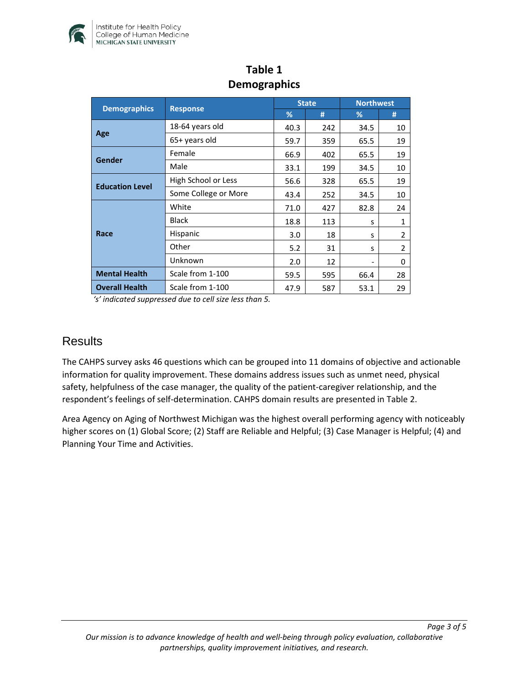

| <b>Demographics</b>    | <b>Response</b>      | <b>State</b> |     | <b>Northwest</b> |                |
|------------------------|----------------------|--------------|-----|------------------|----------------|
|                        |                      | %            | #   | %                | #              |
| Age                    | 18-64 years old      | 40.3         | 242 | 34.5             | 10             |
|                        | 65+ years old        | 59.7         | 359 | 65.5             | 19             |
| Gender                 | Female               | 66.9         | 402 | 65.5             | 19             |
|                        | Male                 | 33.1         | 199 | 34.5             | 10             |
| <b>Education Level</b> | High School or Less  | 56.6         | 328 | 65.5             | 19             |
|                        | Some College or More | 43.4         | 252 | 34.5             | 10             |
| Race                   | White                | 71.0         | 427 | 82.8             | 24             |
|                        | <b>Black</b>         | 18.8         | 113 | S                | $\mathbf{1}$   |
|                        | Hispanic             | 3.0          | 18  | S                | $\overline{2}$ |
|                        | Other                | 5.2          | 31  | S                | $\overline{2}$ |
|                        | Unknown              | 2.0          | 12  | -                | 0              |
| <b>Mental Health</b>   | Scale from 1-100     | 59.5         | 595 | 66.4             | 28             |
| <b>Overall Health</b>  | Scale from 1-100     | 47.9         | 587 | 53.1             | 29             |

# **Table 1 Demographics**

*'s' indicated suppressed due to cell size less than 5.* 

#### **Results**

The CAHPS survey asks 46 questions which can be grouped into 11 domains of objective and actionable information for quality improvement. These domains address issues such as unmet need, physical safety, helpfulness of the case manager, the quality of the patient-caregiver relationship, and the respondent's feelings of self-determination. CAHPS domain results are presented in Table 2.

Area Agency on Aging of Northwest Michigan was the highest overall performing agency with noticeably higher scores on (1) Global Score; (2) Staff are Reliable and Helpful; (3) Case Manager is Helpful; (4) and Planning Your Time and Activities.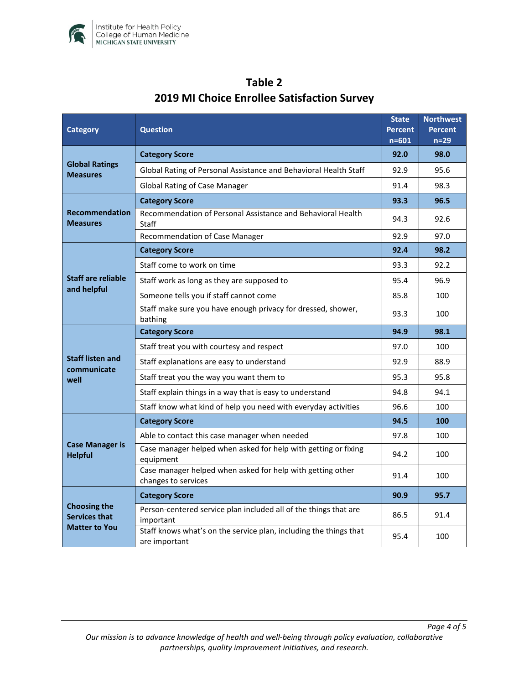

| <b>Category</b>                                                     | <b>Question</b>                                                                    |      | <b>Northwest</b><br>Percent<br>$n=29$ |
|---------------------------------------------------------------------|------------------------------------------------------------------------------------|------|---------------------------------------|
| <b>Global Ratings</b><br><b>Measures</b>                            | <b>Category Score</b>                                                              |      | 98.0                                  |
|                                                                     | Global Rating of Personal Assistance and Behavioral Health Staff                   |      | 95.6                                  |
|                                                                     | <b>Global Rating of Case Manager</b>                                               |      | 98.3                                  |
| <b>Recommendation</b><br><b>Measures</b>                            | <b>Category Score</b>                                                              |      | 96.5                                  |
|                                                                     | Recommendation of Personal Assistance and Behavioral Health<br>Staff               | 94.3 | 92.6                                  |
|                                                                     | Recommendation of Case Manager                                                     | 92.9 | 97.0                                  |
| <b>Staff are reliable</b><br>and helpful                            | <b>Category Score</b>                                                              | 92.4 | 98.2                                  |
|                                                                     | Staff come to work on time                                                         | 93.3 | 92.2                                  |
|                                                                     | Staff work as long as they are supposed to                                         | 95.4 | 96.9                                  |
|                                                                     | Someone tells you if staff cannot come                                             |      | 100                                   |
|                                                                     | Staff make sure you have enough privacy for dressed, shower,<br>bathing            | 93.3 | 100                                   |
| <b>Staff listen and</b><br>communicate<br>well                      | <b>Category Score</b>                                                              | 94.9 | 98.1                                  |
|                                                                     | Staff treat you with courtesy and respect                                          | 97.0 | 100                                   |
|                                                                     | Staff explanations are easy to understand                                          |      | 88.9                                  |
|                                                                     | Staff treat you the way you want them to                                           | 95.3 | 95.8                                  |
|                                                                     | Staff explain things in a way that is easy to understand                           | 94.8 | 94.1                                  |
|                                                                     | Staff know what kind of help you need with everyday activities                     | 96.6 | 100                                   |
| <b>Case Manager is</b><br><b>Helpful</b>                            | <b>Category Score</b>                                                              | 94.5 | 100                                   |
|                                                                     | Able to contact this case manager when needed                                      | 97.8 | 100                                   |
|                                                                     | Case manager helped when asked for help with getting or fixing<br>equipment        |      | 100                                   |
|                                                                     | Case manager helped when asked for help with getting other<br>changes to services  | 91.4 | 100                                   |
| <b>Choosing the</b><br><b>Services that</b><br><b>Matter to You</b> | <b>Category Score</b>                                                              | 90.9 | 95.7                                  |
|                                                                     | Person-centered service plan included all of the things that are<br>important      | 86.5 | 91.4                                  |
|                                                                     | Staff knows what's on the service plan, including the things that<br>are important | 95.4 | 100                                   |

# **Table 2 2019 MI Choice Enrollee Satisfaction Survey**